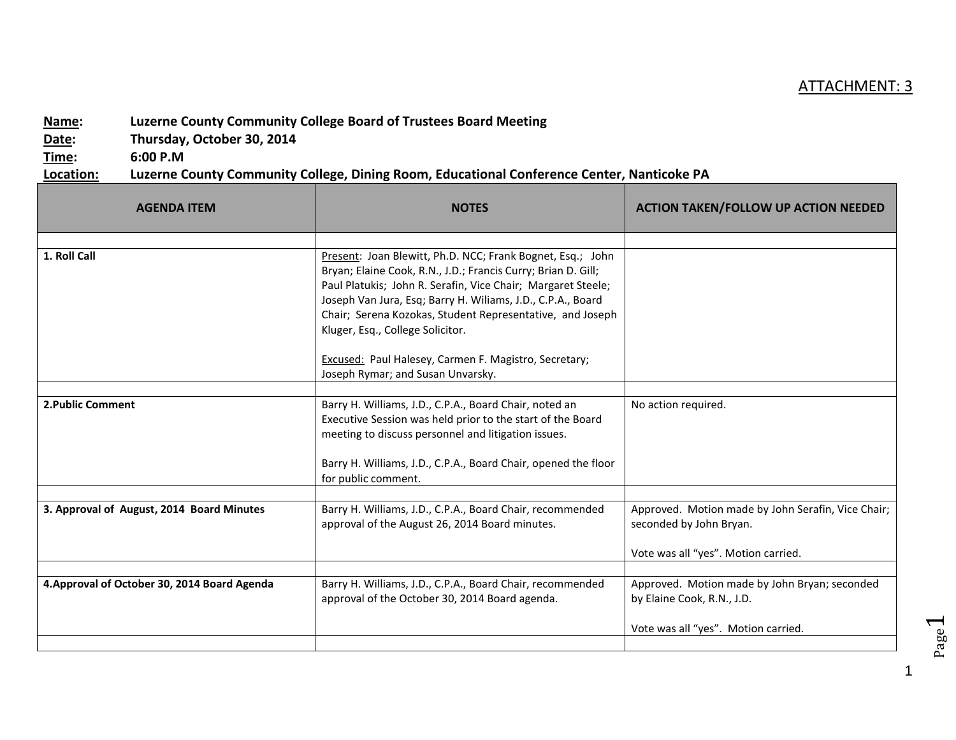## ATTACHMENT: 3

## **Name: Luzerne County Community College Board of Trustees Board Meeting**

**Date: Thursday, October 30, 2014**

**Time: 6:00 P.M**

**Location: Luzerne County Community College, Dining Room, Educational Conference Center, Nanticoke PA**

| <b>AGENDA ITEM</b>                           | <b>NOTES</b>                                                                                                                                                                                                                                                                                                                                                                                                         | <b>ACTION TAKEN/FOLLOW UP ACTION NEEDED</b>                                                                          |
|----------------------------------------------|----------------------------------------------------------------------------------------------------------------------------------------------------------------------------------------------------------------------------------------------------------------------------------------------------------------------------------------------------------------------------------------------------------------------|----------------------------------------------------------------------------------------------------------------------|
|                                              |                                                                                                                                                                                                                                                                                                                                                                                                                      |                                                                                                                      |
| 1. Roll Call                                 | Present: Joan Blewitt, Ph.D. NCC; Frank Bognet, Esq.; John<br>Bryan; Elaine Cook, R.N., J.D.; Francis Curry; Brian D. Gill;<br>Paul Platukis; John R. Serafin, Vice Chair; Margaret Steele;<br>Joseph Van Jura, Esq; Barry H. Wiliams, J.D., C.P.A., Board<br>Chair; Serena Kozokas, Student Representative, and Joseph<br>Kluger, Esq., College Solicitor.<br>Excused: Paul Halesey, Carmen F. Magistro, Secretary; |                                                                                                                      |
|                                              | Joseph Rymar; and Susan Unvarsky.                                                                                                                                                                                                                                                                                                                                                                                    |                                                                                                                      |
| 2. Public Comment                            | Barry H. Williams, J.D., C.P.A., Board Chair, noted an<br>Executive Session was held prior to the start of the Board<br>meeting to discuss personnel and litigation issues.<br>Barry H. Williams, J.D., C.P.A., Board Chair, opened the floor<br>for public comment.                                                                                                                                                 | No action required.                                                                                                  |
| 3. Approval of August, 2014 Board Minutes    | Barry H. Williams, J.D., C.P.A., Board Chair, recommended<br>approval of the August 26, 2014 Board minutes.                                                                                                                                                                                                                                                                                                          | Approved. Motion made by John Serafin, Vice Chair;<br>seconded by John Bryan.<br>Vote was all "yes". Motion carried. |
|                                              |                                                                                                                                                                                                                                                                                                                                                                                                                      |                                                                                                                      |
| 4. Approval of October 30, 2014 Board Agenda | Barry H. Williams, J.D., C.P.A., Board Chair, recommended<br>approval of the October 30, 2014 Board agenda.                                                                                                                                                                                                                                                                                                          | Approved. Motion made by John Bryan; seconded<br>by Elaine Cook, R.N., J.D.                                          |
|                                              |                                                                                                                                                                                                                                                                                                                                                                                                                      | Vote was all "yes". Motion carried.                                                                                  |
|                                              |                                                                                                                                                                                                                                                                                                                                                                                                                      |                                                                                                                      |

Page  $\overline{\phantom{0}}$ 

1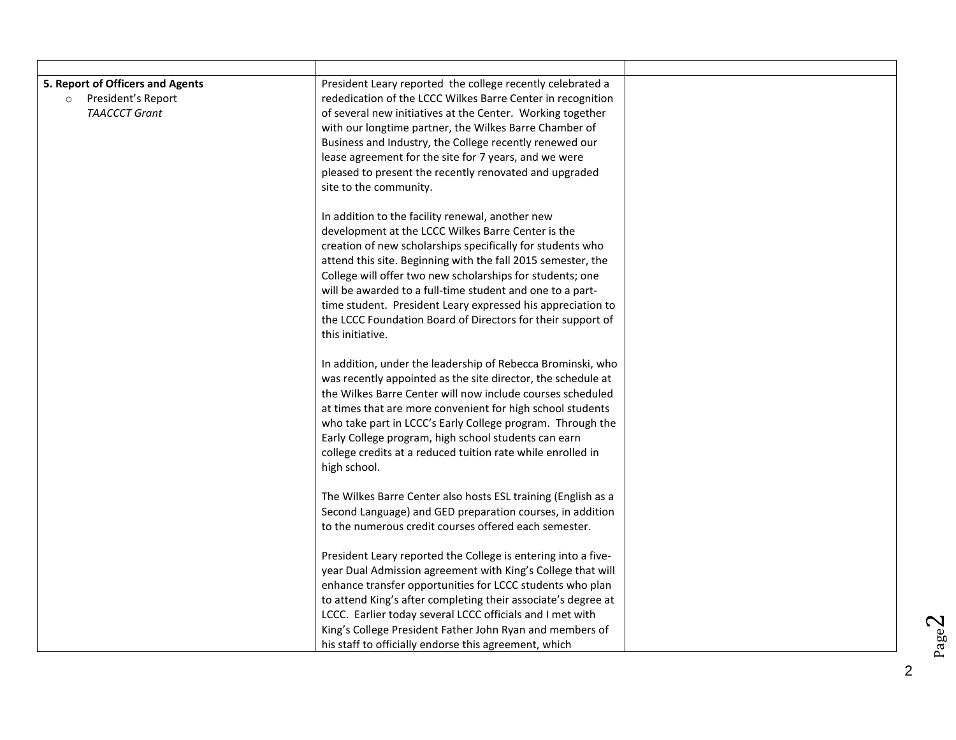| 5. Report of Officers and Agents<br>President's Report<br>$\circ$<br><b>TAACCCT Grant</b> | President Leary reported the college recently celebrated a<br>rededication of the LCCC Wilkes Barre Center in recognition<br>of several new initiatives at the Center. Working together<br>with our longtime partner, the Wilkes Barre Chamber of<br>Business and Industry, the College recently renewed our<br>lease agreement for the site for 7 years, and we were<br>pleased to present the recently renovated and upgraded<br>site to the community.<br>In addition to the facility renewal, another new<br>development at the LCCC Wilkes Barre Center is the<br>creation of new scholarships specifically for students who<br>attend this site. Beginning with the fall 2015 semester, the |  |
|-------------------------------------------------------------------------------------------|---------------------------------------------------------------------------------------------------------------------------------------------------------------------------------------------------------------------------------------------------------------------------------------------------------------------------------------------------------------------------------------------------------------------------------------------------------------------------------------------------------------------------------------------------------------------------------------------------------------------------------------------------------------------------------------------------|--|
|                                                                                           | College will offer two new scholarships for students; one<br>will be awarded to a full-time student and one to a part-<br>time student. President Leary expressed his appreciation to<br>the LCCC Foundation Board of Directors for their support of<br>this initiative.<br>In addition, under the leadership of Rebecca Brominski, who<br>was recently appointed as the site director, the schedule at<br>the Wilkes Barre Center will now include courses scheduled                                                                                                                                                                                                                             |  |
|                                                                                           | at times that are more convenient for high school students<br>who take part in LCCC's Early College program. Through the<br>Early College program, high school students can earn<br>college credits at a reduced tuition rate while enrolled in<br>high school.<br>The Wilkes Barre Center also hosts ESL training (English as a<br>Second Language) and GED preparation courses, in addition<br>to the numerous credit courses offered each semester.                                                                                                                                                                                                                                            |  |
|                                                                                           | President Leary reported the College is entering into a five-<br>year Dual Admission agreement with King's College that will<br>enhance transfer opportunities for LCCC students who plan<br>to attend King's after completing their associate's degree at<br>LCCC. Earlier today several LCCC officials and I met with<br>King's College President Father John Ryan and members of<br>his staff to officially endorse this agreement, which                                                                                                                                                                                                                                                      |  |

 $Page<sup>2</sup>$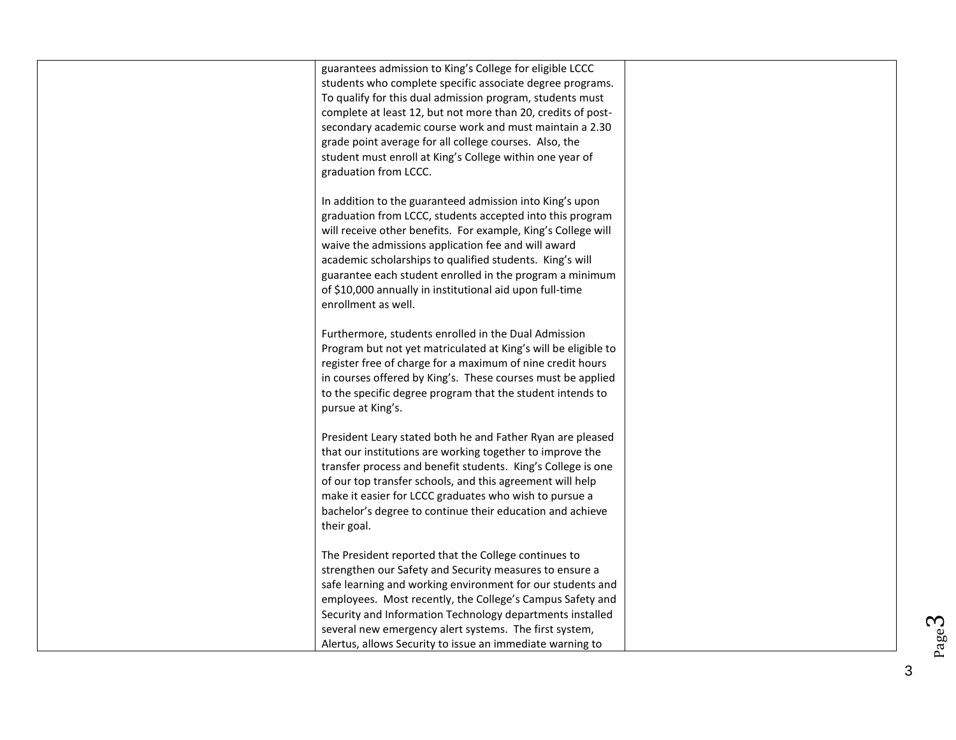| guarantees admission to King's College for eligible LCCC<br>students who complete specific associate degree programs.<br>To qualify for this dual admission program, students must<br>complete at least 12, but not more than 20, credits of post-<br>secondary academic course work and must maintain a 2.30<br>grade point average for all college courses. Also, the<br>student must enroll at King's College within one year of<br>graduation from LCCC. |  |
|--------------------------------------------------------------------------------------------------------------------------------------------------------------------------------------------------------------------------------------------------------------------------------------------------------------------------------------------------------------------------------------------------------------------------------------------------------------|--|
| In addition to the guaranteed admission into King's upon<br>graduation from LCCC, students accepted into this program<br>will receive other benefits. For example, King's College will<br>waive the admissions application fee and will award<br>academic scholarships to qualified students. King's will<br>guarantee each student enrolled in the program a minimum<br>of \$10,000 annually in institutional aid upon full-time<br>enrollment as well.     |  |
| Furthermore, students enrolled in the Dual Admission<br>Program but not yet matriculated at King's will be eligible to<br>register free of charge for a maximum of nine credit hours<br>in courses offered by King's. These courses must be applied<br>to the specific degree program that the student intends to<br>pursue at King's.                                                                                                                       |  |
| President Leary stated both he and Father Ryan are pleased<br>that our institutions are working together to improve the<br>transfer process and benefit students. King's College is one<br>of our top transfer schools, and this agreement will help<br>make it easier for LCCC graduates who wish to pursue a<br>bachelor's degree to continue their education and achieve<br>their goal.                                                                   |  |
| The President reported that the College continues to<br>strengthen our Safety and Security measures to ensure a<br>safe learning and working environment for our students and<br>employees. Most recently, the College's Campus Safety and<br>Security and Information Technology departments installed<br>several new emergency alert systems. The first system,<br>Alertus, allows Security to issue an immediate warning to                               |  |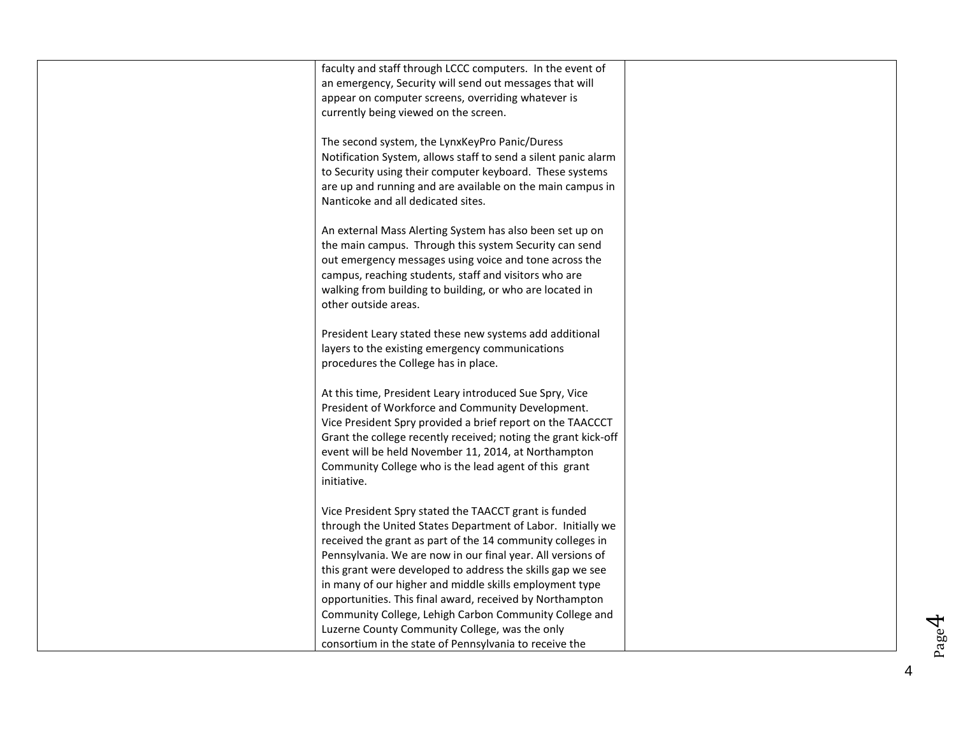| faculty and staff through LCCC computers. In the event of<br>an emergency, Security will send out messages that will<br>appear on computer screens, overriding whatever is<br>currently being viewed on the screen.                                                                                                                                                          |  |
|------------------------------------------------------------------------------------------------------------------------------------------------------------------------------------------------------------------------------------------------------------------------------------------------------------------------------------------------------------------------------|--|
| The second system, the LynxKeyPro Panic/Duress<br>Notification System, allows staff to send a silent panic alarm<br>to Security using their computer keyboard. These systems<br>are up and running and are available on the main campus in<br>Nanticoke and all dedicated sites.                                                                                             |  |
| An external Mass Alerting System has also been set up on<br>the main campus. Through this system Security can send<br>out emergency messages using voice and tone across the<br>campus, reaching students, staff and visitors who are<br>walking from building to building, or who are located in<br>other outside areas.                                                    |  |
| President Leary stated these new systems add additional<br>layers to the existing emergency communications<br>procedures the College has in place.                                                                                                                                                                                                                           |  |
| At this time, President Leary introduced Sue Spry, Vice<br>President of Workforce and Community Development.<br>Vice President Spry provided a brief report on the TAACCCT<br>Grant the college recently received; noting the grant kick-off<br>event will be held November 11, 2014, at Northampton<br>Community College who is the lead agent of this grant<br>initiative. |  |
| Vice President Spry stated the TAACCT grant is funded<br>through the United States Department of Labor. Initially we<br>received the grant as part of the 14 community colleges in<br>Pennsylvania. We are now in our final year. All versions of<br>this grant were developed to address the skills gap we see<br>in many of our higher and middle skills employment type   |  |
| opportunities. This final award, received by Northampton<br>Community College, Lehigh Carbon Community College and<br>Luzerne County Community College, was the only<br>consortium in the state of Pennsylvania to receive the                                                                                                                                               |  |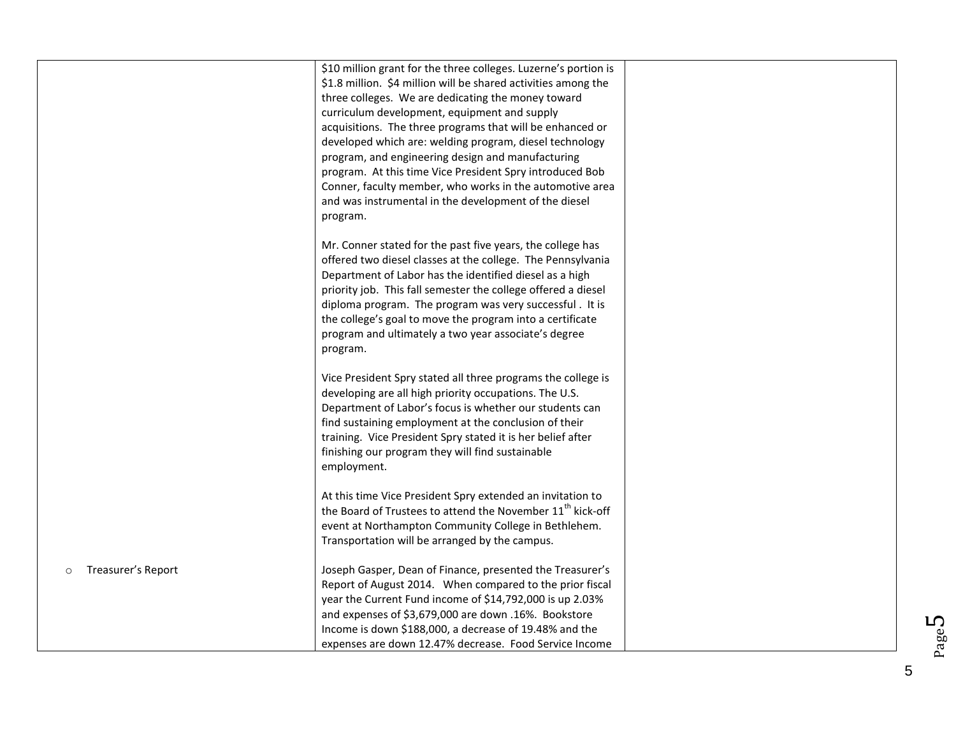|                               | \$10 million grant for the three colleges. Luzerne's portion is<br>\$1.8 million. \$4 million will be shared activities among the<br>three colleges. We are dedicating the money toward<br>curriculum development, equipment and supply<br>acquisitions. The three programs that will be enhanced or<br>developed which are: welding program, diesel technology<br>program, and engineering design and manufacturing<br>program. At this time Vice President Spry introduced Bob<br>Conner, faculty member, who works in the automotive area<br>and was instrumental in the development of the diesel<br>program. |  |
|-------------------------------|-------------------------------------------------------------------------------------------------------------------------------------------------------------------------------------------------------------------------------------------------------------------------------------------------------------------------------------------------------------------------------------------------------------------------------------------------------------------------------------------------------------------------------------------------------------------------------------------------------------------|--|
|                               | Mr. Conner stated for the past five years, the college has<br>offered two diesel classes at the college. The Pennsylvania<br>Department of Labor has the identified diesel as a high<br>priority job. This fall semester the college offered a diesel<br>diploma program. The program was very successful. It is<br>the college's goal to move the program into a certificate<br>program and ultimately a two year associate's degree<br>program.                                                                                                                                                                 |  |
|                               | Vice President Spry stated all three programs the college is<br>developing are all high priority occupations. The U.S.<br>Department of Labor's focus is whether our students can<br>find sustaining employment at the conclusion of their<br>training. Vice President Spry stated it is her belief after<br>finishing our program they will find sustainable<br>employment.                                                                                                                                                                                                                                      |  |
|                               | At this time Vice President Spry extended an invitation to<br>the Board of Trustees to attend the November 11 <sup>th</sup> kick-off<br>event at Northampton Community College in Bethlehem.<br>Transportation will be arranged by the campus.                                                                                                                                                                                                                                                                                                                                                                    |  |
| Treasurer's Report<br>$\circ$ | Joseph Gasper, Dean of Finance, presented the Treasurer's<br>Report of August 2014. When compared to the prior fiscal<br>year the Current Fund income of \$14,792,000 is up 2.03%<br>and expenses of \$3,679,000 are down .16%. Bookstore<br>Income is down \$188,000, a decrease of 19.48% and the<br>expenses are down 12.47% decrease. Food Service Income                                                                                                                                                                                                                                                     |  |

5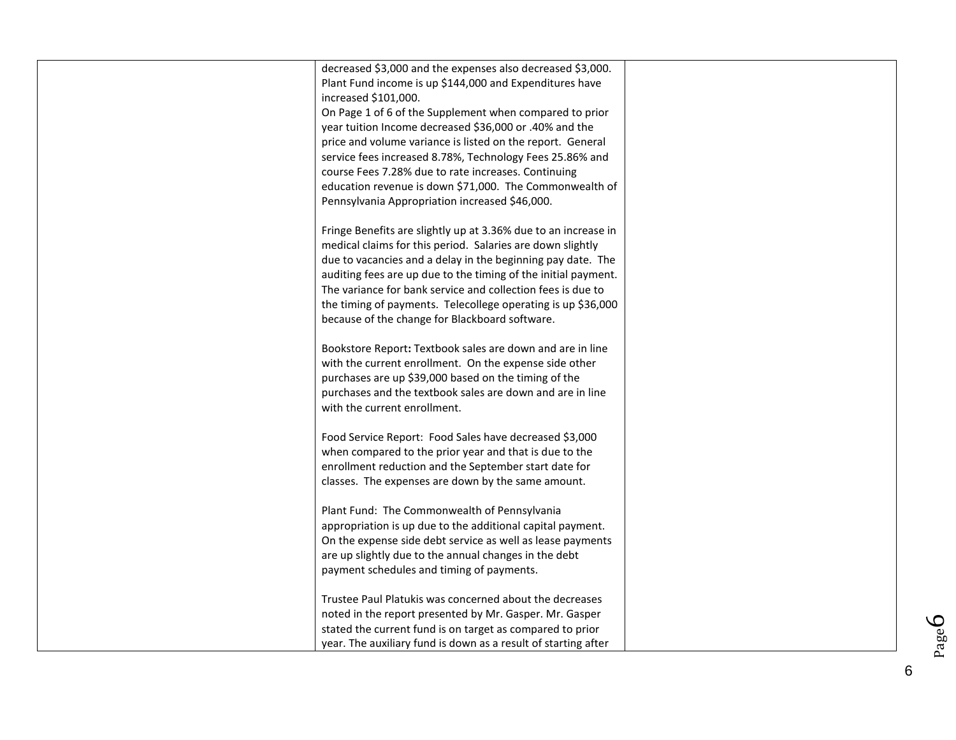| decreased \$3,000 and the expenses also decreased \$3,000.                      |  |
|---------------------------------------------------------------------------------|--|
| Plant Fund income is up \$144,000 and Expenditures have                         |  |
| increased \$101,000.<br>On Page 1 of 6 of the Supplement when compared to prior |  |
| year tuition Income decreased \$36,000 or .40% and the                          |  |
| price and volume variance is listed on the report. General                      |  |
| service fees increased 8.78%, Technology Fees 25.86% and                        |  |
| course Fees 7.28% due to rate increases. Continuing                             |  |
| education revenue is down \$71,000. The Commonwealth of                         |  |
| Pennsylvania Appropriation increased \$46,000.                                  |  |
| Fringe Benefits are slightly up at 3.36% due to an increase in                  |  |
| medical claims for this period. Salaries are down slightly                      |  |
| due to vacancies and a delay in the beginning pay date. The                     |  |
| auditing fees are up due to the timing of the initial payment.                  |  |
| The variance for bank service and collection fees is due to                     |  |
| the timing of payments. Telecollege operating is up \$36,000                    |  |
| because of the change for Blackboard software.                                  |  |
| Bookstore Report: Textbook sales are down and are in line                       |  |
| with the current enrollment. On the expense side other                          |  |
| purchases are up \$39,000 based on the timing of the                            |  |
| purchases and the textbook sales are down and are in line                       |  |
| with the current enrollment.                                                    |  |
| Food Service Report: Food Sales have decreased \$3,000                          |  |
| when compared to the prior year and that is due to the                          |  |
| enrollment reduction and the September start date for                           |  |
| classes. The expenses are down by the same amount.                              |  |
| Plant Fund: The Commonwealth of Pennsylvania                                    |  |
| appropriation is up due to the additional capital payment.                      |  |
| On the expense side debt service as well as lease payments                      |  |
| are up slightly due to the annual changes in the debt                           |  |
| payment schedules and timing of payments.                                       |  |
| Trustee Paul Platukis was concerned about the decreases                         |  |
| noted in the report presented by Mr. Gasper. Mr. Gasper                         |  |
| stated the current fund is on target as compared to prior                       |  |
| year. The auxiliary fund is down as a result of starting after                  |  |

Page6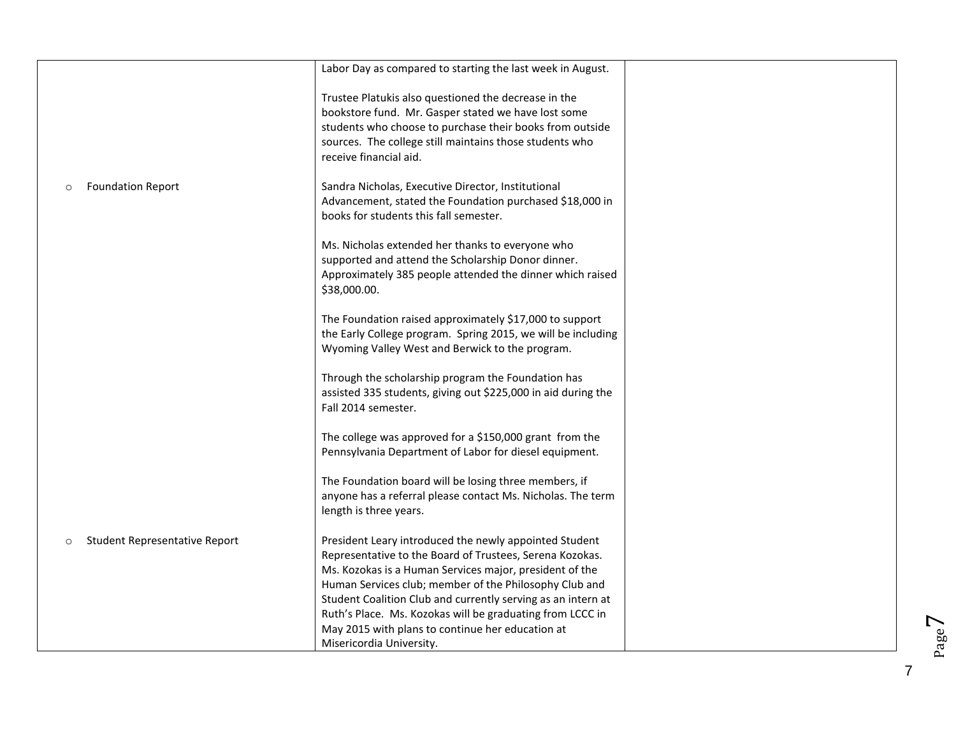|                                                 | Labor Day as compared to starting the last week in August.                                                                                                                                                                                                   |  |
|-------------------------------------------------|--------------------------------------------------------------------------------------------------------------------------------------------------------------------------------------------------------------------------------------------------------------|--|
|                                                 | Trustee Platukis also questioned the decrease in the<br>bookstore fund. Mr. Gasper stated we have lost some<br>students who choose to purchase their books from outside<br>sources. The college still maintains those students who<br>receive financial aid. |  |
| <b>Foundation Report</b><br>$\circ$             | Sandra Nicholas, Executive Director, Institutional<br>Advancement, stated the Foundation purchased \$18,000 in<br>books for students this fall semester.                                                                                                     |  |
|                                                 | Ms. Nicholas extended her thanks to everyone who<br>supported and attend the Scholarship Donor dinner.<br>Approximately 385 people attended the dinner which raised<br>\$38,000.00.                                                                          |  |
|                                                 | The Foundation raised approximately \$17,000 to support<br>the Early College program. Spring 2015, we will be including<br>Wyoming Valley West and Berwick to the program.                                                                                   |  |
|                                                 | Through the scholarship program the Foundation has<br>assisted 335 students, giving out \$225,000 in aid during the<br>Fall 2014 semester.                                                                                                                   |  |
|                                                 | The college was approved for a \$150,000 grant from the<br>Pennsylvania Department of Labor for diesel equipment.                                                                                                                                            |  |
|                                                 | The Foundation board will be losing three members, if<br>anyone has a referral please contact Ms. Nicholas. The term<br>length is three years.                                                                                                               |  |
| <b>Student Representative Report</b><br>$\circ$ | President Leary introduced the newly appointed Student<br>Representative to the Board of Trustees, Serena Kozokas.                                                                                                                                           |  |
|                                                 | Ms. Kozokas is a Human Services major, president of the<br>Human Services club; member of the Philosophy Club and                                                                                                                                            |  |
|                                                 | Student Coalition Club and currently serving as an intern at<br>Ruth's Place. Ms. Kozokas will be graduating from LCCC in                                                                                                                                    |  |
|                                                 | May 2015 with plans to continue her education at                                                                                                                                                                                                             |  |
|                                                 | Misericordia University.                                                                                                                                                                                                                                     |  |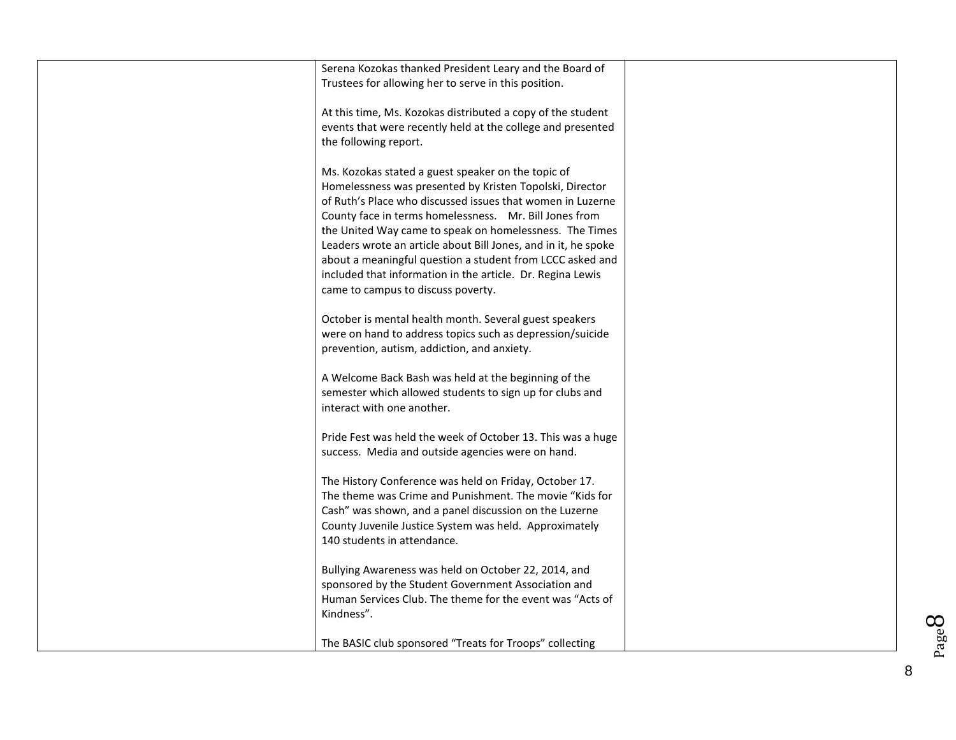| Serena Kozokas thanked President Leary and the Board of<br>Trustees for allowing her to serve in this position.                                                                                                                                                                                                                                                                                                                                                                                                                      |  |
|--------------------------------------------------------------------------------------------------------------------------------------------------------------------------------------------------------------------------------------------------------------------------------------------------------------------------------------------------------------------------------------------------------------------------------------------------------------------------------------------------------------------------------------|--|
| At this time, Ms. Kozokas distributed a copy of the student<br>events that were recently held at the college and presented<br>the following report.                                                                                                                                                                                                                                                                                                                                                                                  |  |
| Ms. Kozokas stated a guest speaker on the topic of<br>Homelessness was presented by Kristen Topolski, Director<br>of Ruth's Place who discussed issues that women in Luzerne<br>County face in terms homelessness. Mr. Bill Jones from<br>the United Way came to speak on homelessness. The Times<br>Leaders wrote an article about Bill Jones, and in it, he spoke<br>about a meaningful question a student from LCCC asked and<br>included that information in the article. Dr. Regina Lewis<br>came to campus to discuss poverty. |  |
| October is mental health month. Several guest speakers<br>were on hand to address topics such as depression/suicide<br>prevention, autism, addiction, and anxiety.                                                                                                                                                                                                                                                                                                                                                                   |  |
| A Welcome Back Bash was held at the beginning of the<br>semester which allowed students to sign up for clubs and<br>interact with one another.                                                                                                                                                                                                                                                                                                                                                                                       |  |
| Pride Fest was held the week of October 13. This was a huge<br>success. Media and outside agencies were on hand.                                                                                                                                                                                                                                                                                                                                                                                                                     |  |
| The History Conference was held on Friday, October 17.<br>The theme was Crime and Punishment. The movie "Kids for<br>Cash" was shown, and a panel discussion on the Luzerne<br>County Juvenile Justice System was held. Approximately<br>140 students in attendance.                                                                                                                                                                                                                                                                 |  |
| Bullying Awareness was held on October 22, 2014, and<br>sponsored by the Student Government Association and<br>Human Services Club. The theme for the event was "Acts of<br>Kindness".                                                                                                                                                                                                                                                                                                                                               |  |
| The BASIC club sponsored "Treats for Troops" collecting                                                                                                                                                                                                                                                                                                                                                                                                                                                                              |  |

Page8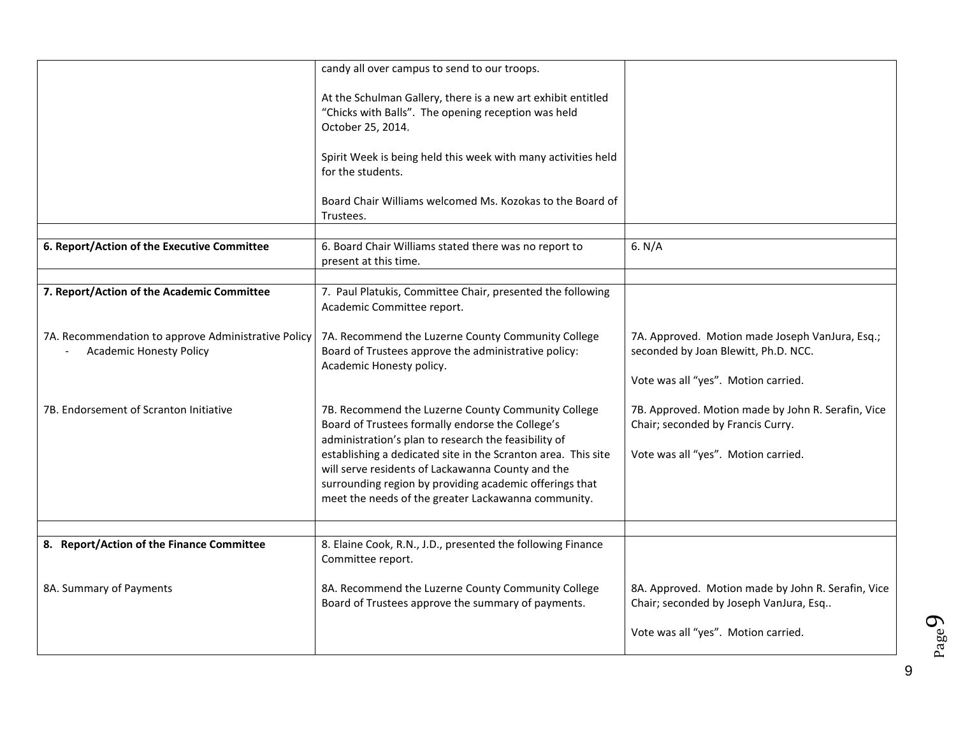|                                                                                       | candy all over campus to send to our troops.                                                                                                                                                                                    |                                                                                                                                |
|---------------------------------------------------------------------------------------|---------------------------------------------------------------------------------------------------------------------------------------------------------------------------------------------------------------------------------|--------------------------------------------------------------------------------------------------------------------------------|
|                                                                                       | At the Schulman Gallery, there is a new art exhibit entitled<br>"Chicks with Balls". The opening reception was held<br>October 25, 2014.                                                                                        |                                                                                                                                |
|                                                                                       | Spirit Week is being held this week with many activities held<br>for the students.                                                                                                                                              |                                                                                                                                |
|                                                                                       | Board Chair Williams welcomed Ms. Kozokas to the Board of<br>Trustees.                                                                                                                                                          |                                                                                                                                |
|                                                                                       |                                                                                                                                                                                                                                 |                                                                                                                                |
| 6. Report/Action of the Executive Committee                                           | 6. Board Chair Williams stated there was no report to<br>present at this time.                                                                                                                                                  | 6. $N/A$                                                                                                                       |
|                                                                                       |                                                                                                                                                                                                                                 |                                                                                                                                |
| 7. Report/Action of the Academic Committee                                            | 7. Paul Platukis, Committee Chair, presented the following<br>Academic Committee report.                                                                                                                                        |                                                                                                                                |
| 7A. Recommendation to approve Administrative Policy<br><b>Academic Honesty Policy</b> | 7A. Recommend the Luzerne County Community College<br>Board of Trustees approve the administrative policy:<br>Academic Honesty policy.                                                                                          | 7A. Approved. Motion made Joseph VanJura, Esq.;<br>seconded by Joan Blewitt, Ph.D. NCC.                                        |
|                                                                                       |                                                                                                                                                                                                                                 | Vote was all "yes". Motion carried.                                                                                            |
| 7B. Endorsement of Scranton Initiative                                                | 7B. Recommend the Luzerne County Community College<br>Board of Trustees formally endorse the College's<br>administration's plan to research the feasibility of<br>establishing a dedicated site in the Scranton area. This site | 7B. Approved. Motion made by John R. Serafin, Vice<br>Chair; seconded by Francis Curry.<br>Vote was all "yes". Motion carried. |
|                                                                                       | will serve residents of Lackawanna County and the<br>surrounding region by providing academic offerings that<br>meet the needs of the greater Lackawanna community.                                                             |                                                                                                                                |
|                                                                                       |                                                                                                                                                                                                                                 |                                                                                                                                |
| 8. Report/Action of the Finance Committee                                             | 8. Elaine Cook, R.N., J.D., presented the following Finance<br>Committee report.                                                                                                                                                |                                                                                                                                |
| 8A. Summary of Payments                                                               | 8A. Recommend the Luzerne County Community College<br>Board of Trustees approve the summary of payments.                                                                                                                        | 8A. Approved. Motion made by John R. Serafin, Vice<br>Chair; seconded by Joseph VanJura, Esq                                   |
|                                                                                       |                                                                                                                                                                                                                                 | Vote was all "yes". Motion carried.                                                                                            |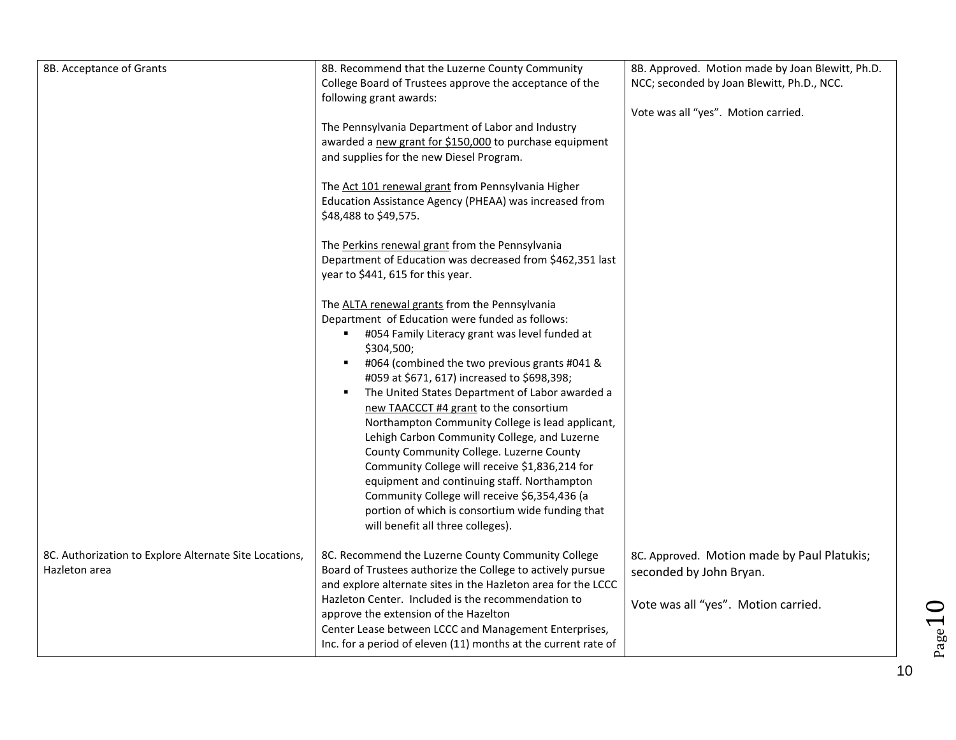| 8B. Acceptance of Grants                               | 8B. Recommend that the Luzerne County Community                                                                     | 8B. Approved. Motion made by Joan Blewitt, Ph.D. |
|--------------------------------------------------------|---------------------------------------------------------------------------------------------------------------------|--------------------------------------------------|
|                                                        | College Board of Trustees approve the acceptance of the<br>following grant awards:                                  | NCC; seconded by Joan Blewitt, Ph.D., NCC.       |
|                                                        |                                                                                                                     | Vote was all "yes". Motion carried.              |
|                                                        | The Pennsylvania Department of Labor and Industry<br>awarded a new grant for \$150,000 to purchase equipment        |                                                  |
|                                                        | and supplies for the new Diesel Program.                                                                            |                                                  |
|                                                        |                                                                                                                     |                                                  |
|                                                        | The Act 101 renewal grant from Pennsylvania Higher<br>Education Assistance Agency (PHEAA) was increased from        |                                                  |
|                                                        | \$48,488 to \$49,575.                                                                                               |                                                  |
|                                                        | The Perkins renewal grant from the Pennsylvania                                                                     |                                                  |
|                                                        | Department of Education was decreased from \$462,351 last                                                           |                                                  |
|                                                        | year to \$441, 615 for this year.                                                                                   |                                                  |
|                                                        | The ALTA renewal grants from the Pennsylvania                                                                       |                                                  |
|                                                        | Department of Education were funded as follows:                                                                     |                                                  |
|                                                        | #054 Family Literacy grant was level funded at<br>\$304,500;                                                        |                                                  |
|                                                        | #064 (combined the two previous grants #041 &<br>٠                                                                  |                                                  |
|                                                        | #059 at \$671, 617) increased to \$698,398;<br>The United States Department of Labor awarded a<br>٠                 |                                                  |
|                                                        | new TAACCCT #4 grant to the consortium                                                                              |                                                  |
|                                                        | Northampton Community College is lead applicant,                                                                    |                                                  |
|                                                        | Lehigh Carbon Community College, and Luzerne<br>County Community College. Luzerne County                            |                                                  |
|                                                        | Community College will receive \$1,836,214 for                                                                      |                                                  |
|                                                        | equipment and continuing staff. Northampton                                                                         |                                                  |
|                                                        | Community College will receive \$6,354,436 (a<br>portion of which is consortium wide funding that                   |                                                  |
|                                                        | will benefit all three colleges).                                                                                   |                                                  |
| 8C. Authorization to Explore Alternate Site Locations, | 8C. Recommend the Luzerne County Community College                                                                  | 8C. Approved. Motion made by Paul Platukis;      |
| Hazleton area                                          | Board of Trustees authorize the College to actively pursue                                                          | seconded by John Bryan.                          |
|                                                        | and explore alternate sites in the Hazleton area for the LCCC<br>Hazleton Center. Included is the recommendation to |                                                  |
|                                                        | approve the extension of the Hazelton                                                                               | Vote was all "yes". Motion carried.              |
|                                                        | Center Lease between LCCC and Management Enterprises,                                                               |                                                  |
|                                                        | Inc. for a period of eleven (11) months at the current rate of                                                      |                                                  |

10